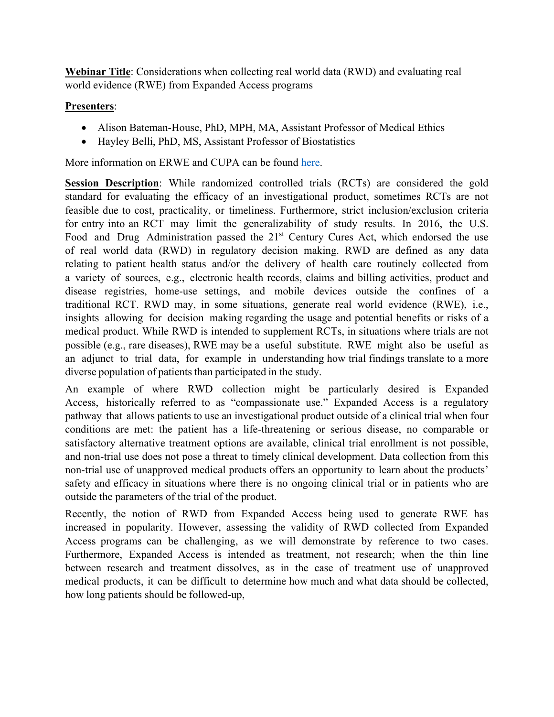**Webinar Title**: Considerations when collecting real world data (RWD) and evaluating real world evidence (RWE) from Expanded Access programs

## **Presenters**:

- Alison Bateman-House, PhD, MPH, MA, Assistant Professor of Medical Ethics
- Hayley Belli, PhD, MS, Assistant Professor of Biostatistics

More information on ERWE and CUPA can be found here.

**Session Description**: While randomized controlled trials (RCTs) are considered the gold standard for evaluating the efficacy of an investigational product, sometimes RCTs are not feasible due to cost, practicality, or timeliness. Furthermore, strict inclusion/exclusion criteria for entry into an RCT may limit the generalizability of study results. In 2016, the U.S. Food and Drug Administration passed the 21<sup>st</sup> Century Cures Act, which endorsed the use of real world data (RWD) in regulatory decision making. RWD are defined as any data relating to patient health status and/or the delivery of health care routinely collected from a variety of sources, e.g., electronic health records, claims and billing activities, product and disease registries, home-use settings, and mobile devices outside the confines of a traditional RCT. RWD may, in some situations, generate real world evidence (RWE), i.e., insights allowing for decision making regarding the usage and potential benefits or risks of a medical product. While RWD is intended to supplement RCTs, in situations where trials are not possible (e.g., rare diseases), RWE may be a useful substitute. RWE might also be useful as an adjunct to trial data, for example in understanding how trial findings translate to a more diverse population of patients than participated in the study.

An example of where RWD collection might be particularly desired is Expanded Access, historically referred to as "compassionate use." Expanded Access is a regulatory pathway that allows patients to use an investigational product outside of a clinical trial when four conditions are met: the patient has a life-threatening or serious disease, no comparable or satisfactory alternative treatment options are available, clinical trial enrollment is not possible, and non-trial use does not pose a threat to timely clinical development. Data collection from this non-trial use of unapproved medical products offers an opportunity to learn about the products' safety and efficacy in situations where there is no ongoing clinical trial or in patients who are outside the parameters of the trial of the product.

Recently, the notion of RWD from Expanded Access being used to generate RWE has increased in popularity. However, assessing the validity of RWD collected from Expanded Access programs can be challenging, as we will demonstrate by reference to two cases. Furthermore, Expanded Access is intended as treatment, not research; when the thin line between research and treatment dissolves, as in the case of treatment use of unapproved medical products, it can be difficult to determine how much and what data should be collected, how long patients should be followed-up,